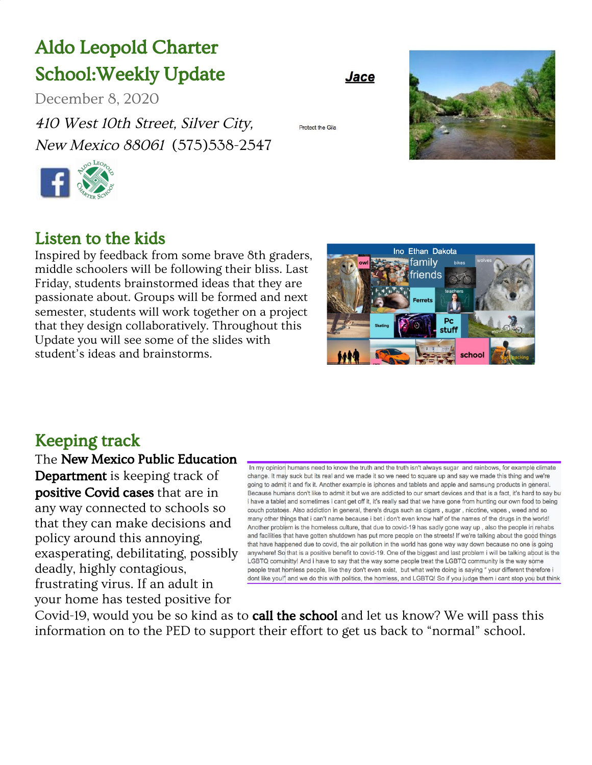## Aldo Leopold Charter School:Weekly Update

December 8, 2020

410 West 10th Street, Silver City, New Mexico <sup>88061</sup> (575)538-2547



#### Protect the Gile

Jace



#### Listen to the kids

Inspired by feedback from some brave 8th graders, middle schoolers will be following their bliss. Last Friday, students brainstormed ideas that they are passionate about. Groups will be formed and next semester, students will work together on a project that they design collaboratively. Throughout this Update you will see some of the slides with student's ideas and brainstorms.



#### Keeping track

The New Mexico Public Education Department is keeping track of positive Covid cases that are in any way connected to schools so that they can make decisions and policy around this annoying, exasperating, debilitating, possibly deadly, highly contagious, frustrating virus. If an adult in your home has tested positive for

In my opinion humans need to know the truth and the truth isn't always sugar and rainbows, for example climate change. It may suck but its real and we made it so we need to square up and say we made this thing and we're going to admit it and fix it. Another example is iphones and tablets and apple and samsung products in general. Because humans don't like to admit it but we are addicted to our smart devices and that is a fact, it's hard to say but i have a tablet and sometimes i cant get off it, it's really sad that we have gone from hunting our own food to being couch potatoes. Also addiction in general, there's drugs such as cigars, sugar, nicotine, vapes, weed and so many other things that i can't name because i bet i don't even know half of the names of the drugs in the world! Another problem is the homeless culture, that due to covid-19 has sadly gone way up, also the people in rehabs and facilities that have gotten shutdown has put more people on the streets! If we're talking about the good things that have happened due to covid, the air pollution in the world has gone way way down because no one is going anywhere! So that is a positive benefit to covid-19. One of the biggest and last problem i will be talking about is the LGBTQ comunitty! And i have to say that the way some people treat the LGBTQ community is the way some people treat homless people, like they don't even exist, but what we're doing is saying " your different therefore i dont like you!" and we do this with politics, the homless, and LGBTQ! So if you judge them i cant stop you but think

Covid-19, would you be so kind as to **call the school** and let us know? We will pass this information on to the PED to support their effort to get us back to "normal" school.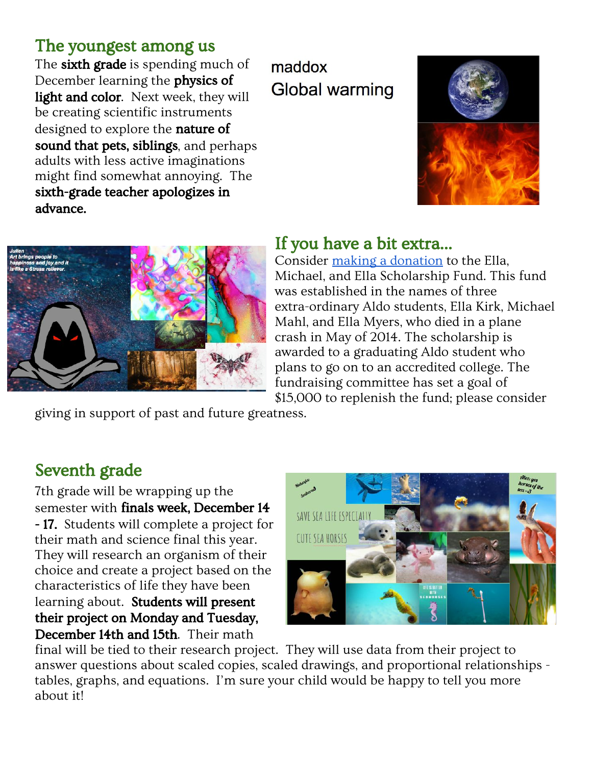#### The youngest among us

The **sixth grade** is spending much of December learning the physics of light and color. Next week, they will be creating scientific instruments designed to explore the **nature of** sound that pets, siblings, and perhaps adults with less active imaginations might find somewhat annoying. The sixth-grade teacher apologizes in advance.

maddox **Global warming** 





#### If you have a bit extra…

Consider making a [donation](https://www.gofundme.com/f/alcs-ella-michael-ella-memorial-scholarship-fund) to the Ella, Michael, and Ella Scholarship Fund. This fund was established in the names of three extra-ordinary Aldo students, Ella Kirk, Michael Mahl, and Ella Myers, who died in a plane crash in May of 2014. The scholarship is awarded to a graduating Aldo student who plans to go on to an accredited college. The fundraising committee has set a goal of \$15,000 to replenish the fund; please consider

giving in support of past and future greatness.

### Seventh grade

7th grade will be wrapping up the semester with finals week, December 14 - 17. Students will complete a project for their math and science final this year. They will research an organism of their choice and create a project based on the characteristics of life they have been learning about. Students will present their project on Monday and Tuesday, December 14th and 15th. Their math



final will be tied to their research project. They will use data from their project to answer questions about scaled copies, scaled drawings, and proportional relationships tables, graphs, and equations. I'm sure your child would be happy to tell you more about it!